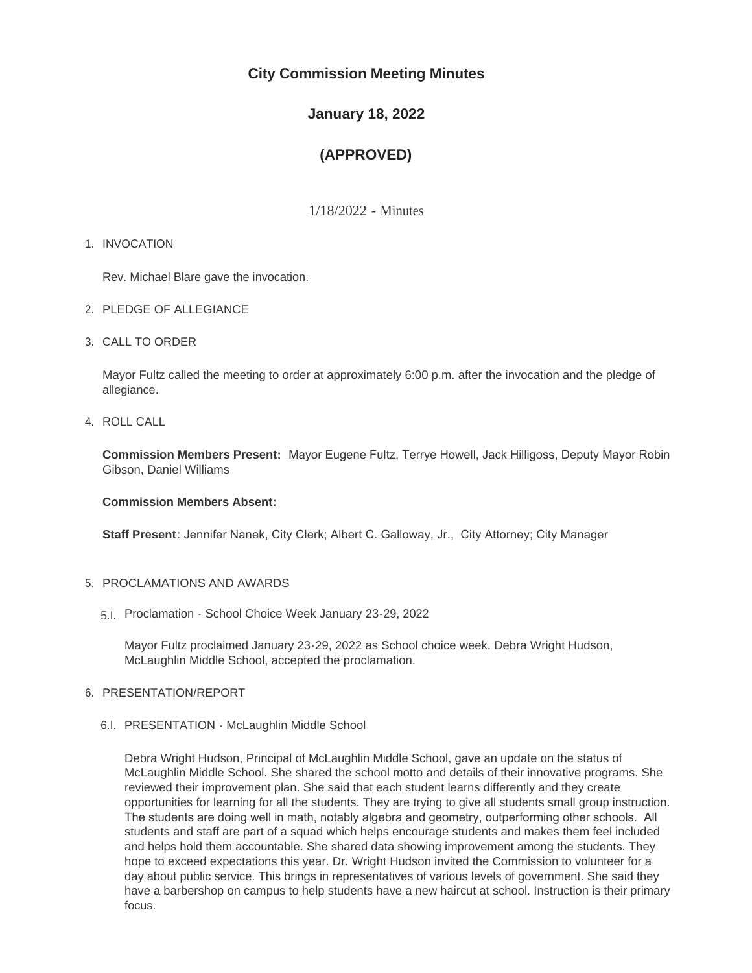# **City Commission Meeting Minutes**

# **January 18, 2022**

# **(APPROVED)**

1/18/2022 - Minutes

# 1. INVOCATION

Rev. Michael Blare gave the invocation.

- 2. PLEDGE OF ALLEGIANCE
- CALL TO ORDER 3.

Mayor Fultz called the meeting to order at approximately 6:00 p.m. after the invocation and the pledge of allegiance.

4. ROLL CALL

**Commission Members Present:** Mayor Eugene Fultz, Terrye Howell, Jack Hilligoss, Deputy Mayor Robin Gibson, Daniel Williams

## **Commission Members Absent:**

**Staff Present**: Jennifer Nanek, City Clerk; Albert C. Galloway, Jr., City Attorney; City Manager

# 5. PROCLAMATIONS AND AWARDS

Proclamation - School Choice Week January 23-29, 2022 5.I.

Mayor Fultz proclaimed January 23-29, 2022 as School choice week. Debra Wright Hudson, McLaughlin Middle School, accepted the proclamation.

# 6. PRESENTATION/REPORT

# 6.I. PRESENTATION - McLaughlin Middle School

Debra Wright Hudson, Principal of McLaughlin Middle School, gave an update on the status of McLaughlin Middle School. She shared the school motto and details of their innovative programs. She reviewed their improvement plan. She said that each student learns differently and they create opportunities for learning for all the students. They are trying to give all students small group instruction. The students are doing well in math, notably algebra and geometry, outperforming other schools. All students and staff are part of a squad which helps encourage students and makes them feel included and helps hold them accountable. She shared data showing improvement among the students. They hope to exceed expectations this year. Dr. Wright Hudson invited the Commission to volunteer for a day about public service. This brings in representatives of various levels of government. She said they have a barbershop on campus to help students have a new haircut at school. Instruction is their primary focus.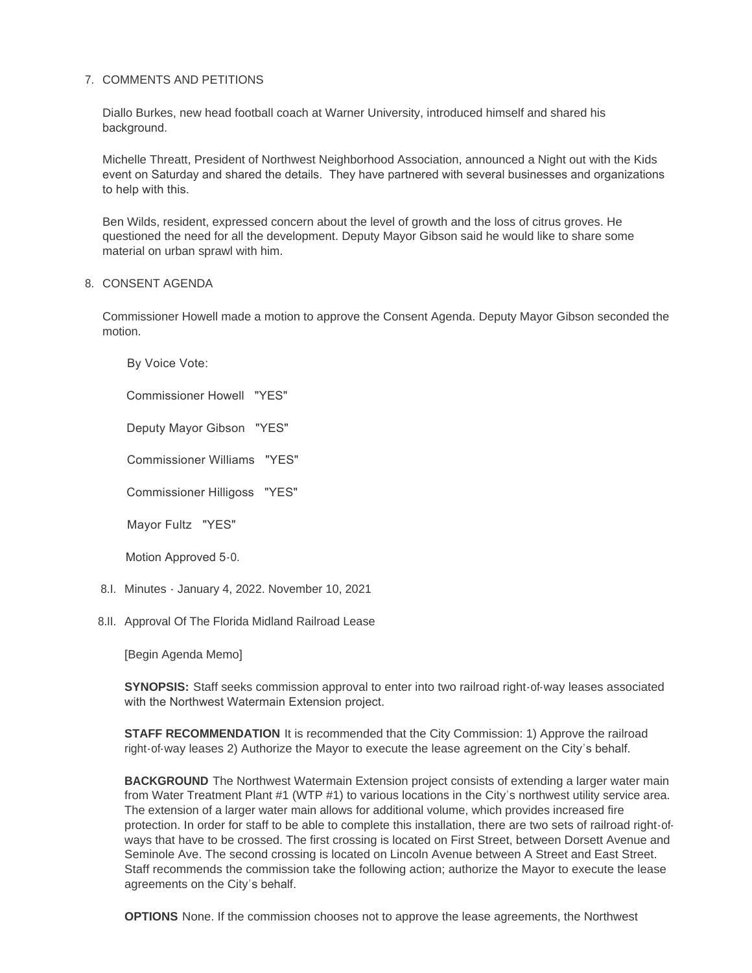# 7. COMMENTS AND PETITIONS

Diallo Burkes, new head football coach at Warner University, introduced himself and shared his background.

Michelle Threatt, President of Northwest Neighborhood Association, announced a Night out with the Kids event on Saturday and shared the details. They have partnered with several businesses and organizations to help with this.

Ben Wilds, resident, expressed concern about the level of growth and the loss of citrus groves. He questioned the need for all the development. Deputy Mayor Gibson said he would like to share some material on urban sprawl with him.

## 8. CONSENT AGENDA

Commissioner Howell made a motion to approve the Consent Agenda. Deputy Mayor Gibson seconded the motion.

By Voice Vote:

Commissioner Howell "YES"

Deputy Mayor Gibson "YES"

Commissioner Williams "YES"

Commissioner Hilligoss "YES"

Mayor Fultz "YES"

Motion Approved 5-0.

- 8.I. Minutes January 4, 2022. November 10, 2021
- 8.II. Approval Of The Florida Midland Railroad Lease

[Begin Agenda Memo]

**SYNOPSIS:** Staff seeks commission approval to enter into two railroad right-of-way leases associated with the Northwest Watermain Extension project.

**STAFF RECOMMENDATION** It is recommended that the City Commission: 1) Approve the railroad right-of-way leases 2) Authorize the Mayor to execute the lease agreement on the City's behalf.

**BACKGROUND** The Northwest Watermain Extension project consists of extending a larger water main from Water Treatment Plant #1 (WTP #1) to various locations in the City's northwest utility service area. The extension of a larger water main allows for additional volume, which provides increased fire protection. In order for staff to be able to complete this installation, there are two sets of railroad right-ofways that have to be crossed. The first crossing is located on First Street, between Dorsett Avenue and Seminole Ave. The second crossing is located on Lincoln Avenue between A Street and East Street. Staff recommends the commission take the following action; authorize the Mayor to execute the lease agreements on the City's behalf.

**OPTIONS** None. If the commission chooses not to approve the lease agreements, the Northwest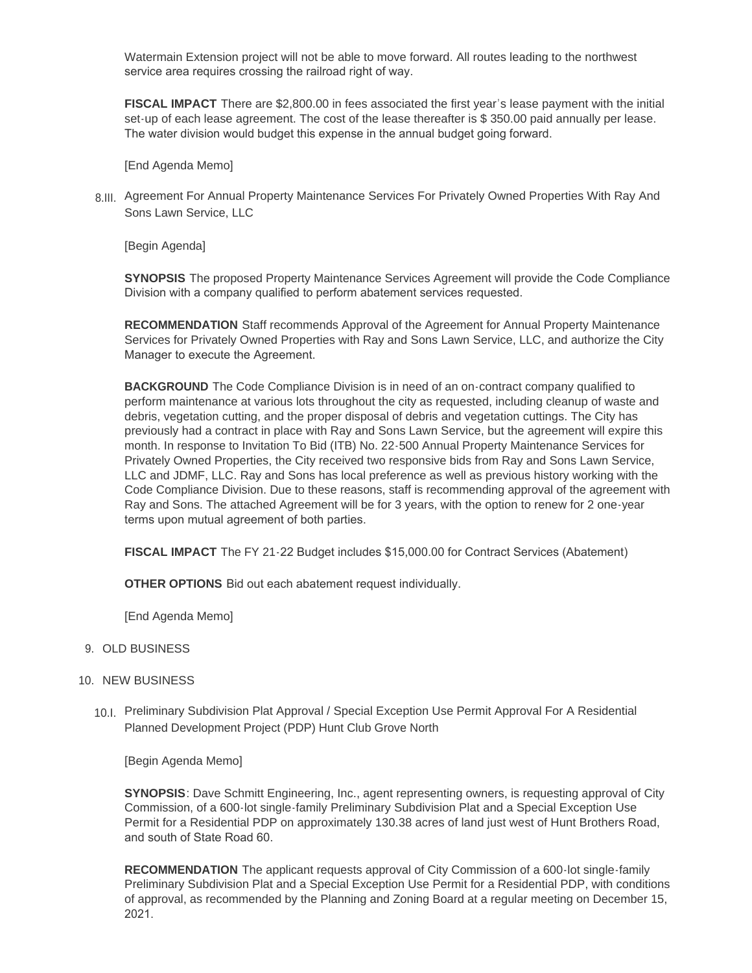Watermain Extension project will not be able to move forward. All routes leading to the northwest service area requires crossing the railroad right of way.

**FISCAL IMPACT** There are \$2,800.00 in fees associated the first year's lease payment with the initial set-up of each lease agreement. The cost of the lease thereafter is \$350.00 paid annually per lease. The water division would budget this expense in the annual budget going forward.

[End Agenda Memo]

8.III. Agreement For Annual Property Maintenance Services For Privately Owned Properties With Ray And Sons Lawn Service, LLC

[Begin Agenda]

**SYNOPSIS** The proposed Property Maintenance Services Agreement will provide the Code Compliance Division with a company qualified to perform abatement services requested.

**RECOMMENDATION** Staff recommends Approval of the Agreement for Annual Property Maintenance Services for Privately Owned Properties with Ray and Sons Lawn Service, LLC, and authorize the City Manager to execute the Agreement.

**BACKGROUND** The Code Compliance Division is in need of an on-contract company qualified to perform maintenance at various lots throughout the city as requested, including cleanup of waste and debris, vegetation cutting, and the proper disposal of debris and vegetation cuttings. The City has previously had a contract in place with Ray and Sons Lawn Service, but the agreement will expire this month. In response to Invitation To Bid (ITB) No. 22-500 Annual Property Maintenance Services for Privately Owned Properties, the City received two responsive bids from Ray and Sons Lawn Service, LLC and JDMF, LLC. Ray and Sons has local preference as well as previous history working with the Code Compliance Division. Due to these reasons, staff is recommending approval of the agreement with Ray and Sons. The attached Agreement will be for 3 years, with the option to renew for 2 one-year terms upon mutual agreement of both parties.

**FISCAL IMPACT** The FY 21-22 Budget includes \$15,000.00 for Contract Services (Abatement)

**OTHER OPTIONS** Bid out each abatement request individually.

[End Agenda Memo]

#### 9. OLD BUSINESS

- 10. NEW BUSINESS
	- Preliminary Subdivision Plat Approval / Special Exception Use Permit Approval For A Residential 10.I. Planned Development Project (PDP) Hunt Club Grove North

[Begin Agenda Memo]

**SYNOPSIS**: Dave Schmitt Engineering, Inc., agent representing owners, is requesting approval of City Commission, of a 600-lot single-family Preliminary Subdivision Plat and a Special Exception Use Permit for a Residential PDP on approximately 130.38 acres of land just west of Hunt Brothers Road, and south of State Road 60.

**RECOMMENDATION** The applicant requests approval of City Commission of a 600-lot single-family Preliminary Subdivision Plat and a Special Exception Use Permit for a Residential PDP, with conditions of approval, as recommended by the Planning and Zoning Board at a regular meeting on December 15, 2021.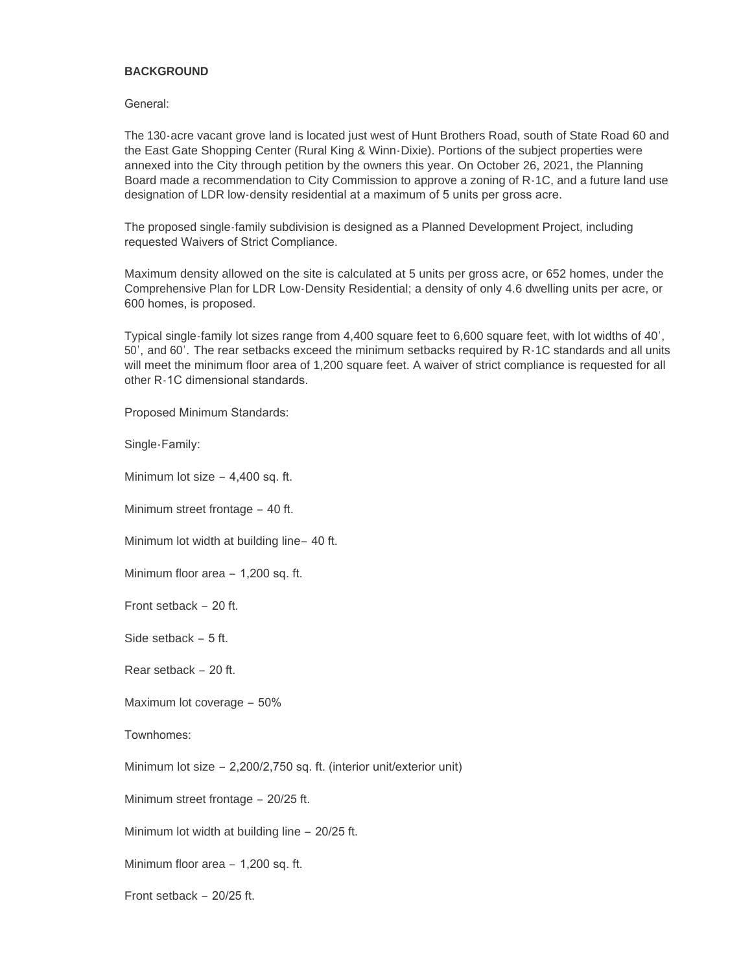### **BACKGROUND**

General:

The 130-acre vacant grove land is located just west of Hunt Brothers Road, south of State Road 60 and the East Gate Shopping Center (Rural King & Winn-Dixie). Portions of the subject properties were annexed into the City through petition by the owners this year. On October 26, 2021, the Planning Board made a recommendation to City Commission to approve a zoning of R-1C, and a future land use designation of LDR low-density residential at a maximum of 5 units per gross acre.

The proposed single-family subdivision is designed as a Planned Development Project, including requested Waivers of Strict Compliance.

Maximum density allowed on the site is calculated at 5 units per gross acre, or 652 homes, under the Comprehensive Plan for LDR Low-Density Residential; a density of only 4.6 dwelling units per acre, or 600 homes, is proposed.

Typical single-family lot sizes range from 4,400 square feet to 6,600 square feet, with lot widths of 40', 50', and 60'. The rear setbacks exceed the minimum setbacks required by R-1C standards and all units will meet the minimum floor area of 1,200 square feet. A waiver of strict compliance is requested for all other R-1C dimensional standards.

Proposed Minimum Standards:

Single-Family:

Minimum lot size – 4,400 sq. ft.

Minimum street frontage – 40 ft.

Minimum lot width at building line– 40 ft.

Minimum floor area – 1,200 sq. ft.

Front setback – 20 ft.

Side setback – 5 ft.

Rear setback – 20 ft.

Maximum lot coverage – 50%

Townhomes:

Minimum lot size – 2,200/2,750 sq. ft. (interior unit/exterior unit)

Minimum street frontage – 20/25 ft.

Minimum lot width at building line – 20/25 ft.

Minimum floor area – 1,200 sq. ft.

Front setback – 20/25 ft.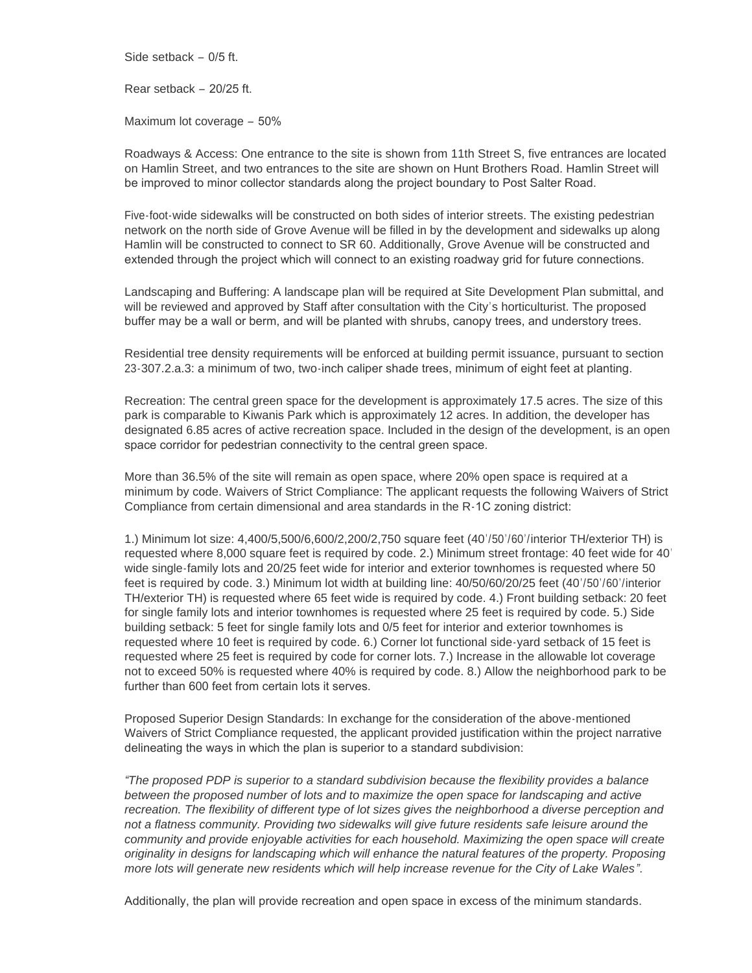Side setback – 0/5 ft.

Rear setback – 20/25 ft.

Maximum lot coverage – 50%

Roadways & Access: One entrance to the site is shown from 11th Street S, five entrances are located on Hamlin Street, and two entrances to the site are shown on Hunt Brothers Road. Hamlin Street will be improved to minor collector standards along the project boundary to Post Salter Road.

Five-foot-wide sidewalks will be constructed on both sides of interior streets. The existing pedestrian network on the north side of Grove Avenue will be filled in by the development and sidewalks up along Hamlin will be constructed to connect to SR 60. Additionally, Grove Avenue will be constructed and extended through the project which will connect to an existing roadway grid for future connections.

Landscaping and Buffering: A landscape plan will be required at Site Development Plan submittal, and will be reviewed and approved by Staff after consultation with the City's horticulturist. The proposed buffer may be a wall or berm, and will be planted with shrubs, canopy trees, and understory trees.

Residential tree density requirements will be enforced at building permit issuance, pursuant to section 23-307.2.a.3: a minimum of two, two-inch caliper shade trees, minimum of eight feet at planting.

Recreation: The central green space for the development is approximately 17.5 acres. The size of this park is comparable to Kiwanis Park which is approximately 12 acres. In addition, the developer has designated 6.85 acres of active recreation space. Included in the design of the development, is an open space corridor for pedestrian connectivity to the central green space.

More than 36.5% of the site will remain as open space, where 20% open space is required at a minimum by code. Waivers of Strict Compliance: The applicant requests the following Waivers of Strict Compliance from certain dimensional and area standards in the R-1C zoning district:

1.) Minimum lot size: 4,400/5,500/6,600/2,200/2,750 square feet (40'/50'/60'/interior TH/exterior TH) is requested where 8,000 square feet is required by code. 2.) Minimum street frontage: 40 feet wide for 40' wide single-family lots and 20/25 feet wide for interior and exterior townhomes is requested where 50 feet is required by code. 3.) Minimum lot width at building line: 40/50/60/20/25 feet (40'/50'/60'/interior TH/exterior TH) is requested where 65 feet wide is required by code. 4.) Front building setback: 20 feet for single family lots and interior townhomes is requested where 25 feet is required by code. 5.) Side building setback: 5 feet for single family lots and 0/5 feet for interior and exterior townhomes is requested where 10 feet is required by code. 6.) Corner lot functional side-yard setback of 15 feet is requested where 25 feet is required by code for corner lots. 7.) Increase in the allowable lot coverage not to exceed 50% is requested where 40% is required by code. 8.) Allow the neighborhood park to be further than 600 feet from certain lots it serves.

Proposed Superior Design Standards: In exchange for the consideration of the above-mentioned Waivers of Strict Compliance requested, the applicant provided justification within the project narrative delineating the ways in which the plan is superior to a standard subdivision:

*"The proposed PDP is superior to a standard subdivision because the flexibility provides a balance between the proposed number of lots and to maximize the open space for landscaping and active recreation. The flexibility of different type of lot sizes gives the neighborhood a diverse perception and*  not a flatness community. Providing two sidewalks will give future residents safe leisure around the *community and provide enjoyable activities for each household. Maximizing the open space will create originality in designs for landscaping which will enhance the natural features of the property. Proposing more lots will generate new residents which will help increase revenue for the City of Lake Wales"*.

Additionally, the plan will provide recreation and open space in excess of the minimum standards.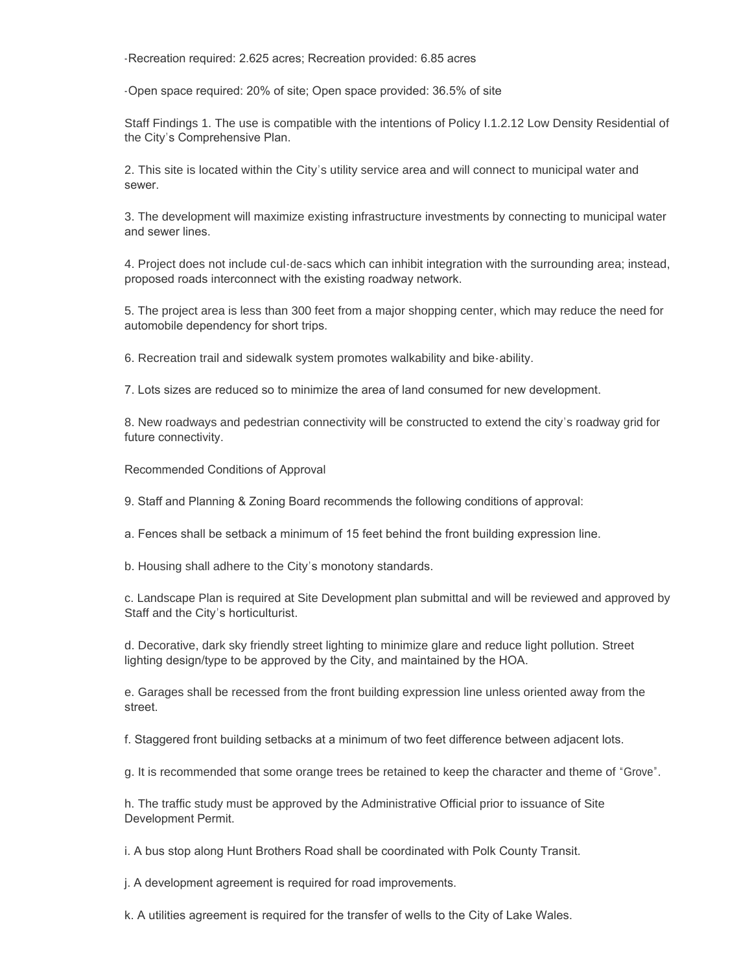-Recreation required: 2.625 acres; Recreation provided: 6.85 acres

-Open space required: 20% of site; Open space provided: 36.5% of site

Staff Findings 1. The use is compatible with the intentions of Policy I.1.2.12 Low Density Residential of the City's Comprehensive Plan.

2. This site is located within the City's utility service area and will connect to municipal water and sewer.

3. The development will maximize existing infrastructure investments by connecting to municipal water and sewer lines.

4. Project does not include cul-de-sacs which can inhibit integration with the surrounding area; instead, proposed roads interconnect with the existing roadway network.

5. The project area is less than 300 feet from a major shopping center, which may reduce the need for automobile dependency for short trips.

6. Recreation trail and sidewalk system promotes walkability and bike-ability.

7. Lots sizes are reduced so to minimize the area of land consumed for new development.

8. New roadways and pedestrian connectivity will be constructed to extend the city's roadway grid for future connectivity.

Recommended Conditions of Approval

9. Staff and Planning & Zoning Board recommends the following conditions of approval:

a. Fences shall be setback a minimum of 15 feet behind the front building expression line.

b. Housing shall adhere to the City's monotony standards.

c. Landscape Plan is required at Site Development plan submittal and will be reviewed and approved by Staff and the City's horticulturist.

d. Decorative, dark sky friendly street lighting to minimize glare and reduce light pollution. Street lighting design/type to be approved by the City, and maintained by the HOA.

e. Garages shall be recessed from the front building expression line unless oriented away from the street.

f. Staggered front building setbacks at a minimum of two feet difference between adjacent lots.

g. It is recommended that some orange trees be retained to keep the character and theme of "Grove".

h. The traffic study must be approved by the Administrative Official prior to issuance of Site Development Permit.

i. A bus stop along Hunt Brothers Road shall be coordinated with Polk County Transit.

j. A development agreement is required for road improvements.

k. A utilities agreement is required for the transfer of wells to the City of Lake Wales.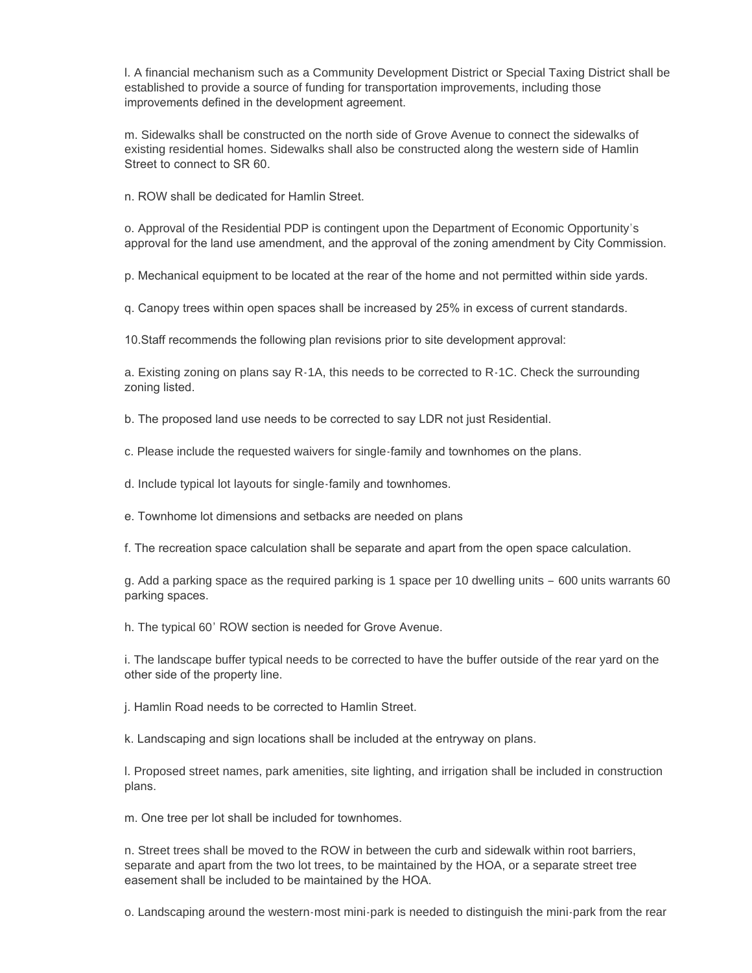l. A financial mechanism such as a Community Development District or Special Taxing District shall be established to provide a source of funding for transportation improvements, including those improvements defined in the development agreement.

m. Sidewalks shall be constructed on the north side of Grove Avenue to connect the sidewalks of existing residential homes. Sidewalks shall also be constructed along the western side of Hamlin Street to connect to SR 60.

n. ROW shall be dedicated for Hamlin Street.

o. Approval of the Residential PDP is contingent upon the Department of Economic Opportunity's approval for the land use amendment, and the approval of the zoning amendment by City Commission.

p. Mechanical equipment to be located at the rear of the home and not permitted within side yards.

q. Canopy trees within open spaces shall be increased by 25% in excess of current standards.

10.Staff recommends the following plan revisions prior to site development approval:

a. Existing zoning on plans say R-1A, this needs to be corrected to R-1C. Check the surrounding zoning listed.

b. The proposed land use needs to be corrected to say LDR not just Residential.

c. Please include the requested waivers for single-family and townhomes on the plans.

d. Include typical lot layouts for single-family and townhomes.

e. Townhome lot dimensions and setbacks are needed on plans

f. The recreation space calculation shall be separate and apart from the open space calculation.

g. Add a parking space as the required parking is 1 space per 10 dwelling units – 600 units warrants 60 parking spaces.

h. The typical 60' ROW section is needed for Grove Avenue.

i. The landscape buffer typical needs to be corrected to have the buffer outside of the rear yard on the other side of the property line.

j. Hamlin Road needs to be corrected to Hamlin Street.

k. Landscaping and sign locations shall be included at the entryway on plans.

l. Proposed street names, park amenities, site lighting, and irrigation shall be included in construction plans.

m. One tree per lot shall be included for townhomes.

n. Street trees shall be moved to the ROW in between the curb and sidewalk within root barriers, separate and apart from the two lot trees, to be maintained by the HOA, or a separate street tree easement shall be included to be maintained by the HOA.

o. Landscaping around the western-most mini-park is needed to distinguish the mini-park from the rear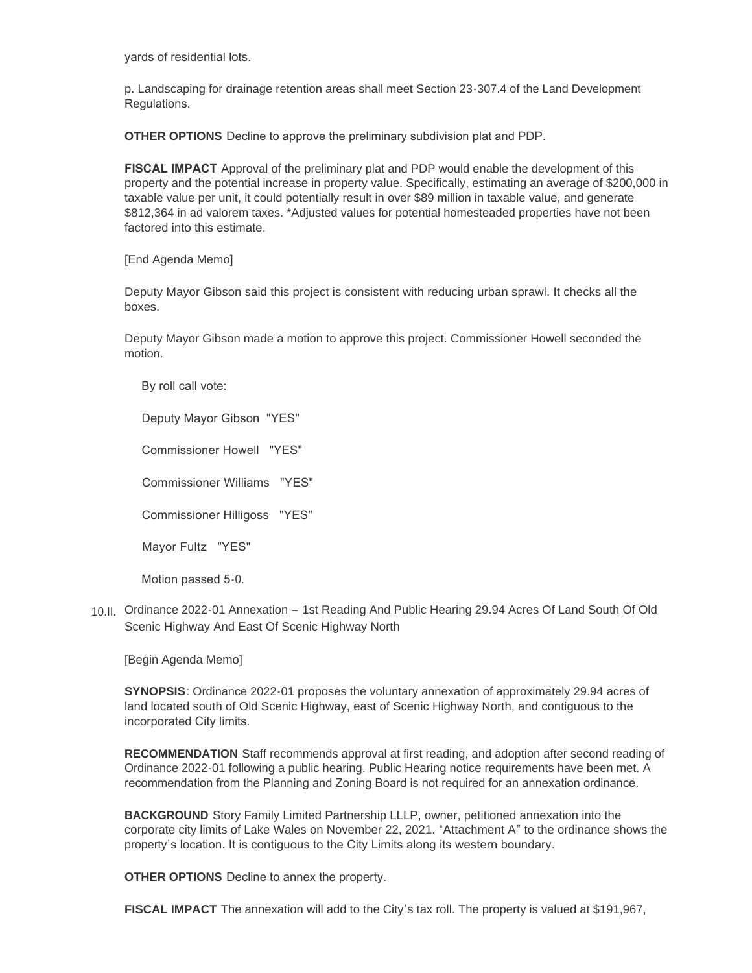yards of residential lots.

p. Landscaping for drainage retention areas shall meet Section 23-307.4 of the Land Development Regulations.

**OTHER OPTIONS** Decline to approve the preliminary subdivision plat and PDP.

**FISCAL IMPACT** Approval of the preliminary plat and PDP would enable the development of this property and the potential increase in property value. Specifically, estimating an average of \$200,000 in taxable value per unit, it could potentially result in over \$89 million in taxable value, and generate \$812,364 in ad valorem taxes. \*Adjusted values for potential homesteaded properties have not been factored into this estimate.

[End Agenda Memo]

Deputy Mayor Gibson said this project is consistent with reducing urban sprawl. It checks all the boxes.

Deputy Mayor Gibson made a motion to approve this project. Commissioner Howell seconded the motion.

By roll call vote:

Deputy Mayor Gibson "YES"

Commissioner Howell "YES"

Commissioner Williams "YES"

Commissioner Hilligoss "YES"

Mayor Fultz "YES"

Motion passed 5-0.

10.II. Ordinance 2022-01 Annexation - 1st Reading And Public Hearing 29.94 Acres Of Land South Of Old Scenic Highway And East Of Scenic Highway North

[Begin Agenda Memo]

**SYNOPSIS**: Ordinance 2022-01 proposes the voluntary annexation of approximately 29.94 acres of land located south of Old Scenic Highway, east of Scenic Highway North, and contiguous to the incorporated City limits.

**RECOMMENDATION** Staff recommends approval at first reading, and adoption after second reading of Ordinance 2022-01 following a public hearing. Public Hearing notice requirements have been met. A recommendation from the Planning and Zoning Board is not required for an annexation ordinance.

**BACKGROUND** Story Family Limited Partnership LLLP, owner, petitioned annexation into the corporate city limits of Lake Wales on November 22, 2021. "Attachment A" to the ordinance shows the property's location. It is contiguous to the City Limits along its western boundary.

**OTHER OPTIONS** Decline to annex the property.

**FISCAL IMPACT** The annexation will add to the City's tax roll. The property is valued at \$191,967,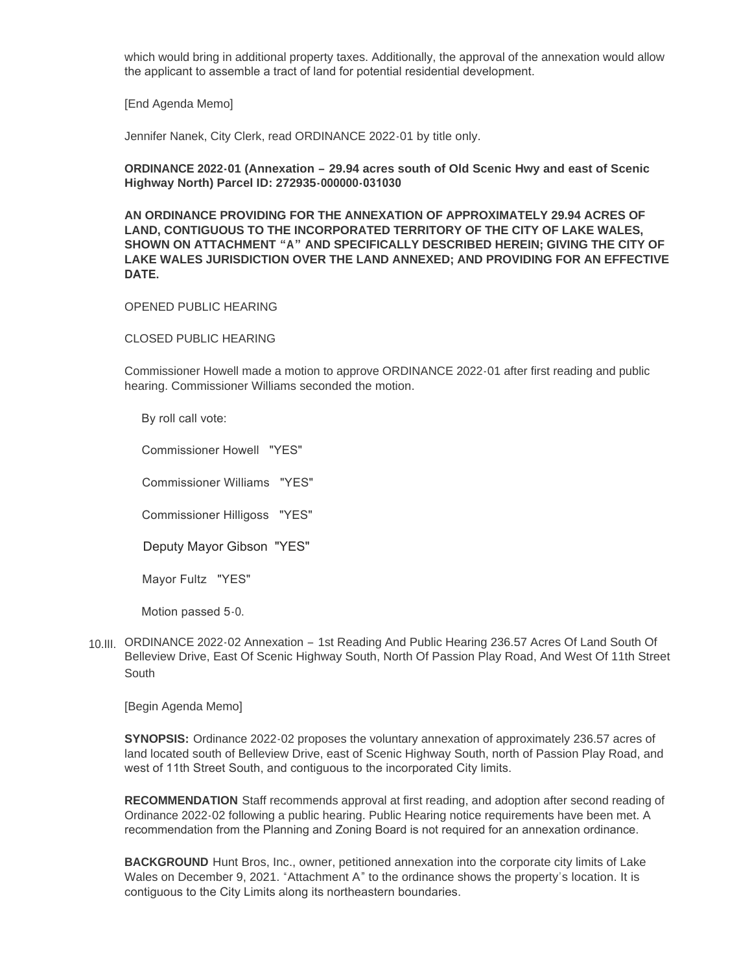which would bring in additional property taxes. Additionally, the approval of the annexation would allow the applicant to assemble a tract of land for potential residential development.

[End Agenda Memo]

Jennifer Nanek, City Clerk, read ORDINANCE 2022-01 by title only.

## **ORDINANCE 2022-01 (Annexation – 29.94 acres south of Old Scenic Hwy and east of Scenic Highway North) Parcel ID: 272935-000000-031030**

**AN ORDINANCE PROVIDING FOR THE ANNEXATION OF APPROXIMATELY 29.94 ACRES OF LAND, CONTIGUOUS TO THE INCORPORATED TERRITORY OF THE CITY OF LAKE WALES, SHOWN ON ATTACHMENT "A" AND SPECIFICALLY DESCRIBED HEREIN; GIVING THE CITY OF LAKE WALES JURISDICTION OVER THE LAND ANNEXED; AND PROVIDING FOR AN EFFECTIVE DATE.** 

#### OPENED PUBLIC HEARING

CLOSED PUBLIC HEARING

Commissioner Howell made a motion to approve ORDINANCE 2022-01 after first reading and public hearing. Commissioner Williams seconded the motion.

By roll call vote:

Commissioner Howell "YES"

Commissioner Williams "YES"

Commissioner Hilligoss "YES"

Deputy Mayor Gibson "YES"

Mayor Fultz "YES"

Motion passed 5-0.

10.III. ORDINANCE 2022-02 Annexation - 1st Reading And Public Hearing 236.57 Acres Of Land South Of Belleview Drive, East Of Scenic Highway South, North Of Passion Play Road, And West Of 11th Street South

[Begin Agenda Memo]

**SYNOPSIS:** Ordinance 2022-02 proposes the voluntary annexation of approximately 236.57 acres of land located south of Belleview Drive, east of Scenic Highway South, north of Passion Play Road, and west of 11th Street South, and contiguous to the incorporated City limits.

**RECOMMENDATION** Staff recommends approval at first reading, and adoption after second reading of Ordinance 2022-02 following a public hearing. Public Hearing notice requirements have been met. A recommendation from the Planning and Zoning Board is not required for an annexation ordinance.

**BACKGROUND** Hunt Bros, Inc., owner, petitioned annexation into the corporate city limits of Lake Wales on December 9, 2021. "Attachment A" to the ordinance shows the property's location. It is contiguous to the City Limits along its northeastern boundaries.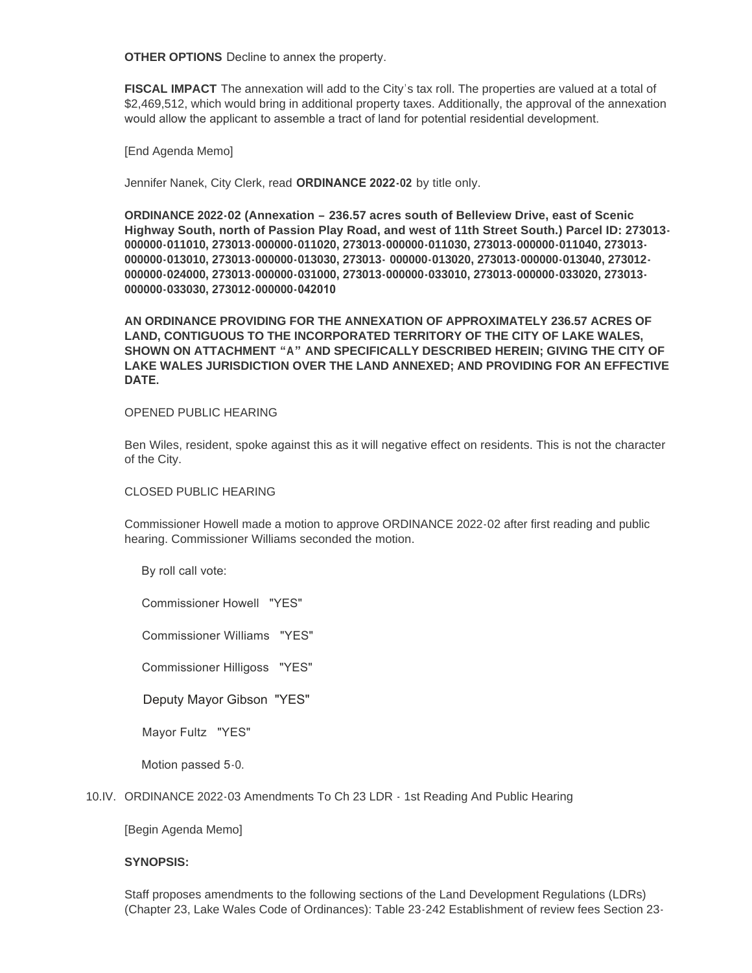**OTHER OPTIONS** Decline to annex the property.

**FISCAL IMPACT** The annexation will add to the City's tax roll. The properties are valued at a total of \$2,469,512, which would bring in additional property taxes. Additionally, the approval of the annexation would allow the applicant to assemble a tract of land for potential residential development.

[End Agenda Memo]

Jennifer Nanek, City Clerk, read **ORDINANCE 2022-02** by title only.

**ORDINANCE 2022-02 (Annexation – 236.57 acres south of Belleview Drive, east of Scenic Highway South, north of Passion Play Road, and west of 11th Street South.) Parcel ID: 273013- 000000-011010, 273013-000000-011020, 273013-000000-011030, 273013-000000-011040, 273013- 000000-013010, 273013-000000-013030, 273013- 000000-013020, 273013-000000-013040, 273012- 000000-024000, 273013-000000-031000, 273013-000000-033010, 273013-000000-033020, 273013- 000000-033030, 273012-000000-042010** 

**AN ORDINANCE PROVIDING FOR THE ANNEXATION OF APPROXIMATELY 236.57 ACRES OF LAND, CONTIGUOUS TO THE INCORPORATED TERRITORY OF THE CITY OF LAKE WALES, SHOWN ON ATTACHMENT "A" AND SPECIFICALLY DESCRIBED HEREIN; GIVING THE CITY OF LAKE WALES JURISDICTION OVER THE LAND ANNEXED; AND PROVIDING FOR AN EFFECTIVE DATE.** 

#### OPENED PUBLIC HEARING

Ben Wiles, resident, spoke against this as it will negative effect on residents. This is not the character of the City.

#### CLOSED PUBLIC HEARING

Commissioner Howell made a motion to approve ORDINANCE 2022-02 after first reading and public hearing. Commissioner Williams seconded the motion.

By roll call vote:

Commissioner Howell "YES"

Commissioner Williams "YES"

Commissioner Hilligoss "YES"

Deputy Mayor Gibson "YES"

Mayor Fultz "YES"

Motion passed 5-0.

#### 10.IV. ORDINANCE 2022-03 Amendments To Ch 23 LDR - 1st Reading And Public Hearing

[Begin Agenda Memo]

#### **SYNOPSIS:**

Staff proposes amendments to the following sections of the Land Development Regulations (LDRs) (Chapter 23, Lake Wales Code of Ordinances): Table 23-242 Establishment of review fees Section 23-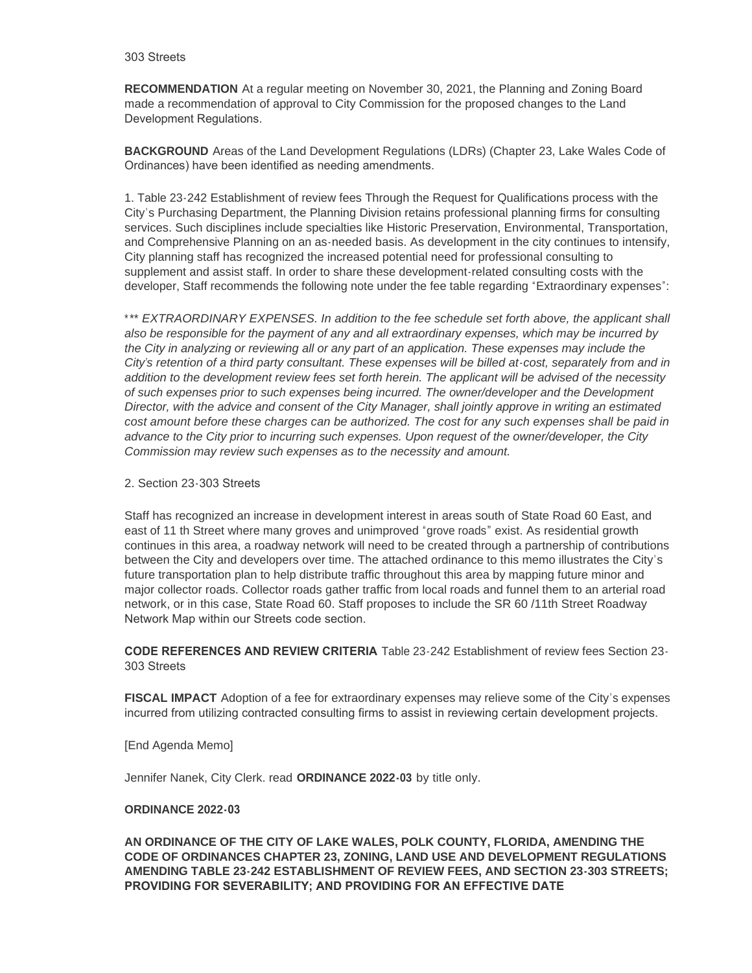#### 303 Streets

**RECOMMENDATION** At a regular meeting on November 30, 2021, the Planning and Zoning Board made a recommendation of approval to City Commission for the proposed changes to the Land Development Regulations.

**BACKGROUND** Areas of the Land Development Regulations (LDRs) (Chapter 23, Lake Wales Code of Ordinances) have been identified as needing amendments.

1. Table 23-242 Establishment of review fees Through the Request for Qualifications process with the City's Purchasing Department, the Planning Division retains professional planning firms for consulting services. Such disciplines include specialties like Historic Preservation, Environmental, Transportation, and Comprehensive Planning on an as-needed basis. As development in the city continues to intensify, City planning staff has recognized the increased potential need for professional consulting to supplement and assist staff. In order to share these development-related consulting costs with the developer, Staff recommends the following note under the fee table regarding "Extraordinary expenses":

\**\*\* EXTRAORDINARY EXPENSES. In addition to the fee schedule set forth above, the applicant shall also be responsible for the payment of any and all extraordinary expenses, which may be incurred by the City in analyzing or reviewing all or any part of an application. These expenses may include the City's retention of a third party consultant. These expenses will be billed at-cost, separately from and in addition to the development review fees set forth herein. The applicant will be advised of the necessity of such expenses prior to such expenses being incurred. The owner/developer and the Development Director, with the advice and consent of the City Manager, shall jointly approve in writing an estimated cost amount before these charges can be authorized. The cost for any such expenses shall be paid in advance to the City prior to incurring such expenses. Upon request of the owner/developer, the City Commission may review such expenses as to the necessity and amount.*

#### 2. Section 23-303 Streets

Staff has recognized an increase in development interest in areas south of State Road 60 East, and east of 11 th Street where many groves and unimproved "grove roads" exist. As residential growth continues in this area, a roadway network will need to be created through a partnership of contributions between the City and developers over time. The attached ordinance to this memo illustrates the City's future transportation plan to help distribute traffic throughout this area by mapping future minor and major collector roads. Collector roads gather traffic from local roads and funnel them to an arterial road network, or in this case, State Road 60. Staff proposes to include the SR 60 /11th Street Roadway Network Map within our Streets code section.

**CODE REFERENCES AND REVIEW CRITERIA** Table 23-242 Establishment of review fees Section 23- 303 Streets

**FISCAL IMPACT** Adoption of a fee for extraordinary expenses may relieve some of the City's expenses incurred from utilizing contracted consulting firms to assist in reviewing certain development projects.

[End Agenda Memo]

Jennifer Nanek, City Clerk. read **ORDINANCE 2022-03** by title only.

#### **ORDINANCE 2022-03**

**AN ORDINANCE OF THE CITY OF LAKE WALES, POLK COUNTY, FLORIDA, AMENDING THE CODE OF ORDINANCES CHAPTER 23, ZONING, LAND USE AND DEVELOPMENT REGULATIONS AMENDING TABLE 23-242 ESTABLISHMENT OF REVIEW FEES, AND SECTION 23-303 STREETS; PROVIDING FOR SEVERABILITY; AND PROVIDING FOR AN EFFECTIVE DATE**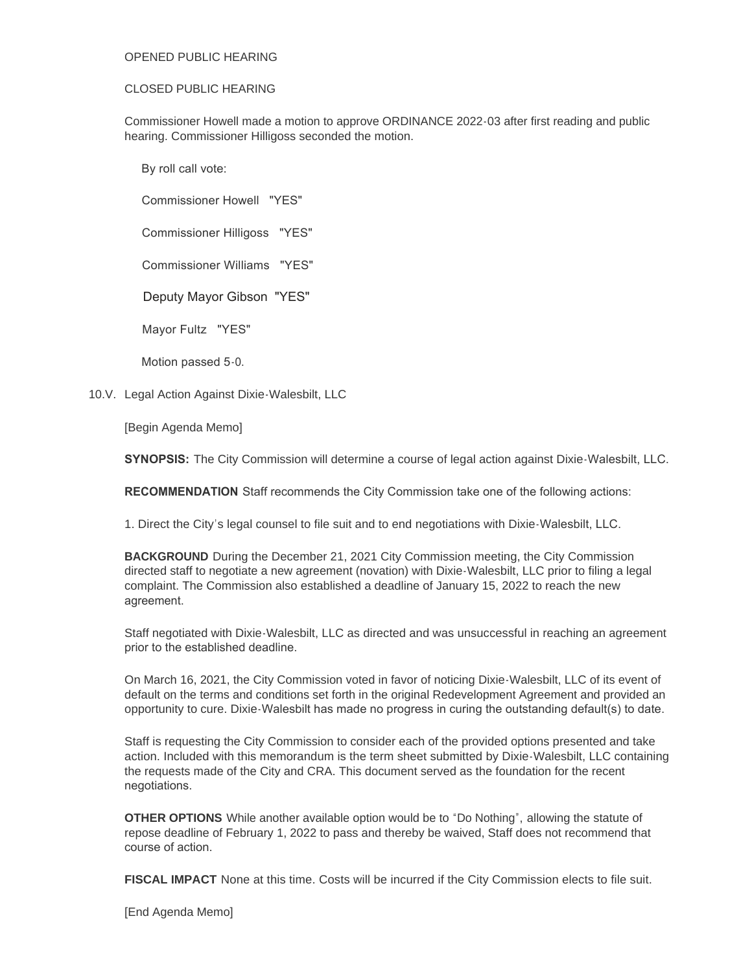# OPENED PUBLIC HEARING

# CLOSED PUBLIC HEARING

Commissioner Howell made a motion to approve ORDINANCE 2022-03 after first reading and public hearing. Commissioner Hilligoss seconded the motion.

By roll call vote:

Commissioner Howell "YES"

Commissioner Hilligoss "YES"

Commissioner Williams "YES"

Deputy Mayor Gibson "YES"

Mayor Fultz "YES"

Motion passed 5-0.

10.V. Legal Action Against Dixie-Walesbilt, LLC

[Begin Agenda Memo]

**SYNOPSIS:** The City Commission will determine a course of legal action against Dixie-Walesbilt, LLC.

**RECOMMENDATION** Staff recommends the City Commission take one of the following actions:

1. Direct the City's legal counsel to file suit and to end negotiations with Dixie-Walesbilt, LLC.

**BACKGROUND** During the December 21, 2021 City Commission meeting, the City Commission directed staff to negotiate a new agreement (novation) with Dixie-Walesbilt, LLC prior to filing a legal complaint. The Commission also established a deadline of January 15, 2022 to reach the new agreement.

Staff negotiated with Dixie-Walesbilt, LLC as directed and was unsuccessful in reaching an agreement prior to the established deadline.

On March 16, 2021, the City Commission voted in favor of noticing Dixie-Walesbilt, LLC of its event of default on the terms and conditions set forth in the original Redevelopment Agreement and provided an opportunity to cure. Dixie-Walesbilt has made no progress in curing the outstanding default(s) to date.

Staff is requesting the City Commission to consider each of the provided options presented and take action. Included with this memorandum is the term sheet submitted by Dixie-Walesbilt, LLC containing the requests made of the City and CRA. This document served as the foundation for the recent negotiations.

**OTHER OPTIONS** While another available option would be to "Do Nothing", allowing the statute of repose deadline of February 1, 2022 to pass and thereby be waived, Staff does not recommend that course of action.

**FISCAL IMPACT** None at this time. Costs will be incurred if the City Commission elects to file suit.

[End Agenda Memo]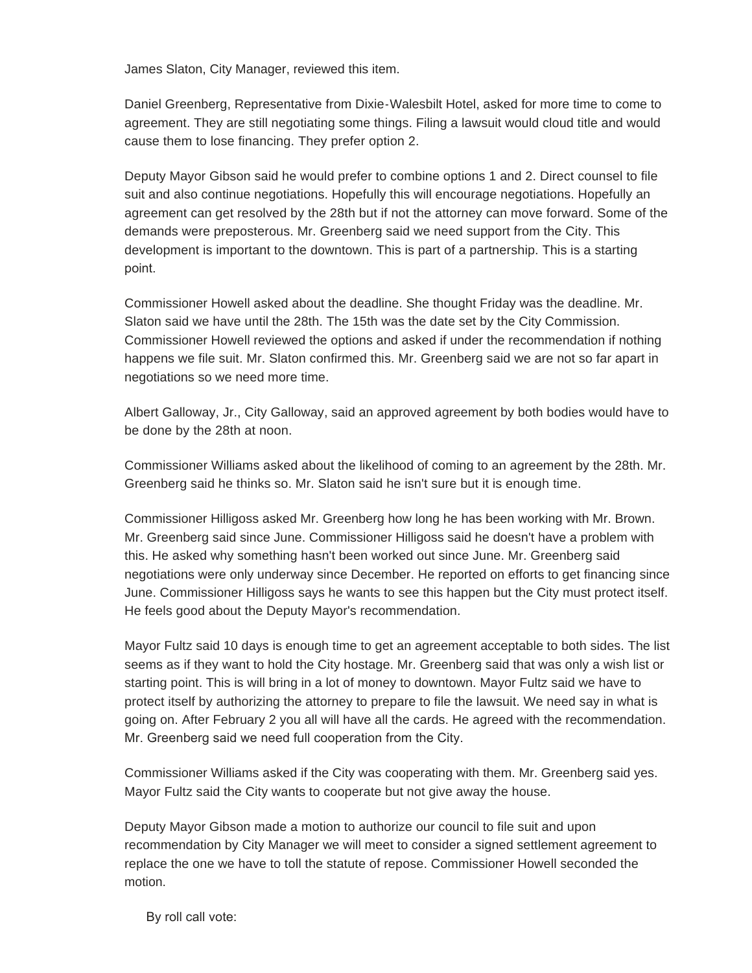James Slaton, City Manager, reviewed this item.

Daniel Greenberg, Representative from Dixie-Walesbilt Hotel, asked for more time to come to agreement. They are still negotiating some things. Filing a lawsuit would cloud title and would cause them to lose financing. They prefer option 2.

Deputy Mayor Gibson said he would prefer to combine options 1 and 2. Direct counsel to file suit and also continue negotiations. Hopefully this will encourage negotiations. Hopefully an agreement can get resolved by the 28th but if not the attorney can move forward. Some of the demands were preposterous. Mr. Greenberg said we need support from the City. This development is important to the downtown. This is part of a partnership. This is a starting point.

Commissioner Howell asked about the deadline. She thought Friday was the deadline. Mr. Slaton said we have until the 28th. The 15th was the date set by the City Commission. Commissioner Howell reviewed the options and asked if under the recommendation if nothing happens we file suit. Mr. Slaton confirmed this. Mr. Greenberg said we are not so far apart in negotiations so we need more time.

Albert Galloway, Jr., City Galloway, said an approved agreement by both bodies would have to be done by the 28th at noon.

Commissioner Williams asked about the likelihood of coming to an agreement by the 28th. Mr. Greenberg said he thinks so. Mr. Slaton said he isn't sure but it is enough time.

Commissioner Hilligoss asked Mr. Greenberg how long he has been working with Mr. Brown. Mr. Greenberg said since June. Commissioner Hilligoss said he doesn't have a problem with this. He asked why something hasn't been worked out since June. Mr. Greenberg said negotiations were only underway since December. He reported on efforts to get financing since June. Commissioner Hilligoss says he wants to see this happen but the City must protect itself. He feels good about the Deputy Mayor's recommendation.

Mayor Fultz said 10 days is enough time to get an agreement acceptable to both sides. The list seems as if they want to hold the City hostage. Mr. Greenberg said that was only a wish list or starting point. This is will bring in a lot of money to downtown. Mayor Fultz said we have to protect itself by authorizing the attorney to prepare to file the lawsuit. We need say in what is going on. After February 2 you all will have all the cards. He agreed with the recommendation. Mr. Greenberg said we need full cooperation from the City.

Commissioner Williams asked if the City was cooperating with them. Mr. Greenberg said yes. Mayor Fultz said the City wants to cooperate but not give away the house.

Deputy Mayor Gibson made a motion to authorize our council to file suit and upon recommendation by City Manager we will meet to consider a signed settlement agreement to replace the one we have to toll the statute of repose. Commissioner Howell seconded the motion.

By roll call vote: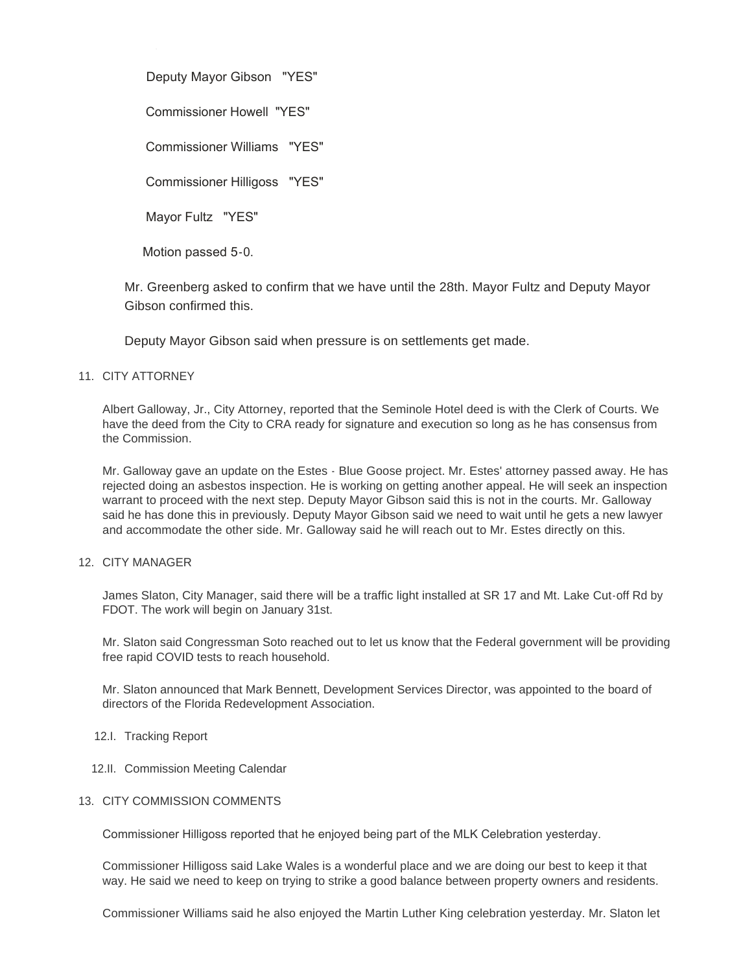Deputy Mayor Gibson "YES"

Commissioner Howell "YES"

Commissioner Williams "YES"

Commissioner Hilligoss "YES"

Mayor Fultz "YES"

By roll call vote:

Motion passed 5-0.

Mr. Greenberg asked to confirm that we have until the 28th. Mayor Fultz and Deputy Mayor Gibson confirmed this.

Deputy Mayor Gibson said when pressure is on settlements get made.

# 11. CITY ATTORNEY

Albert Galloway, Jr., City Attorney, reported that the Seminole Hotel deed is with the Clerk of Courts. We have the deed from the City to CRA ready for signature and execution so long as he has consensus from the Commission.

Mr. Galloway gave an update on the Estes - Blue Goose project. Mr. Estes' attorney passed away. He has rejected doing an asbestos inspection. He is working on getting another appeal. He will seek an inspection warrant to proceed with the next step. Deputy Mayor Gibson said this is not in the courts. Mr. Galloway said he has done this in previously. Deputy Mayor Gibson said we need to wait until he gets a new lawyer and accommodate the other side. Mr. Galloway said he will reach out to Mr. Estes directly on this.

# 12. CITY MANAGER

James Slaton, City Manager, said there will be a traffic light installed at SR 17 and Mt. Lake Cut-off Rd by FDOT. The work will begin on January 31st.

Mr. Slaton said Congressman Soto reached out to let us know that the Federal government will be providing free rapid COVID tests to reach household.

Mr. Slaton announced that Mark Bennett, Development Services Director, was appointed to the board of directors of the Florida Redevelopment Association.

- 12.I. Tracking Report
- 12.II. Commission Meeting Calendar

# 13. CITY COMMISSION COMMENTS

Commissioner Hilligoss reported that he enjoyed being part of the MLK Celebration yesterday.

Commissioner Hilligoss said Lake Wales is a wonderful place and we are doing our best to keep it that way. He said we need to keep on trying to strike a good balance between property owners and residents.

Commissioner Williams said he also enjoyed the Martin Luther King celebration yesterday. Mr. Slaton let